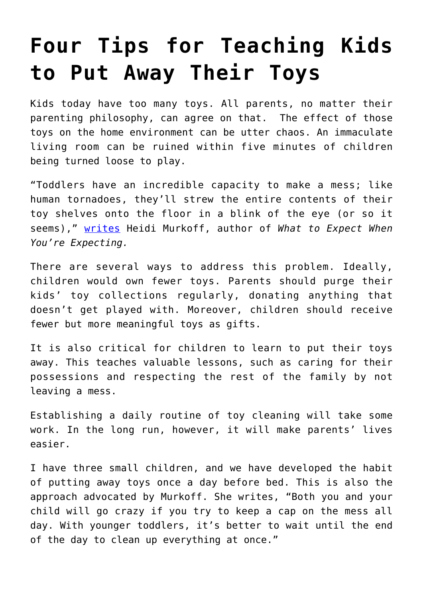# **[Four Tips for Teaching Kids](https://intellectualtakeout.org/2020/10/four-tips-for-teaching-kids-to-put-away-their-toys/) [to Put Away Their Toys](https://intellectualtakeout.org/2020/10/four-tips-for-teaching-kids-to-put-away-their-toys/)**

Kids today have too many toys. All parents, no matter their parenting philosophy, can agree on that. The effect of those toys on the home environment can be utter chaos. An immaculate living room can be ruined within five minutes of children being turned loose to play.

"Toddlers have an incredible capacity to make a mess; like human tornadoes, they'll strew the entire contents of their toy shelves onto the floor in a blink of the eye (or so it seems)," [writes](https://www.whattoexpect.com/playroom/ask-heidi/clean-up.aspx) Heidi Murkoff, author of *What to Expect When You're Expecting.*

There are several ways to address this problem. Ideally, children would own fewer toys. Parents should purge their kids' toy collections regularly, donating anything that doesn't get played with. Moreover, children should receive fewer but more meaningful toys as gifts.

It is also critical for children to learn to put their toys away. This teaches valuable lessons, such as caring for their possessions and respecting the rest of the family by not leaving a mess.

Establishing a daily routine of toy cleaning will take some work. In the long run, however, it will make parents' lives easier.

I have three small children, and we have developed the habit of putting away toys once a day before bed. This is also the approach advocated by Murkoff. She writes, "Both you and your child will go crazy if you try to keep a cap on the mess all day. With younger toddlers, it's better to wait until the end of the day to clean up everything at once."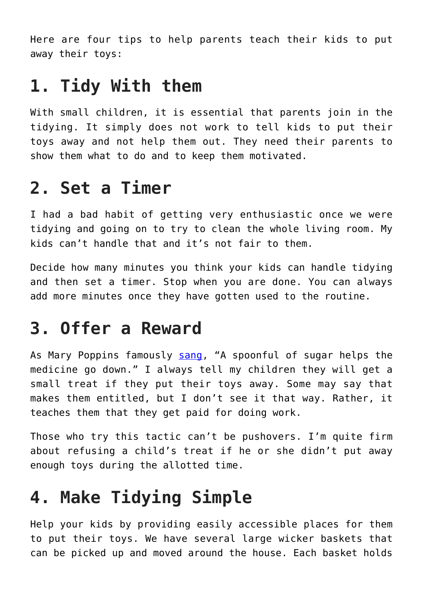Here are four tips to help parents teach their kids to put away their toys:

#### **1. Tidy With them**

With small children, it is essential that parents join in the tidying. It simply does not work to tell kids to put their toys away and not help them out. They need their parents to show them what to do and to keep them motivated.

### **2. Set a Timer**

I had a bad habit of getting very enthusiastic once we were tidying and going on to try to clean the whole living room. My kids can't handle that and it's not fair to them.

Decide how many minutes you think your kids can handle tidying and then set a timer. Stop when you are done. You can always add more minutes once they have gotten used to the routine.

#### **3. Offer a Reward**

As Mary Poppins famously [sang,](https://www.youtube.com/watch?reload=9&v=ftxnr28LDXc&ab_channel=Bomborarius) "A spoonful of sugar helps the medicine go down." I always tell my children they will get a small treat if they put their toys away. Some may say that makes them entitled, but I don't see it that way. Rather, it teaches them that they get paid for doing work.

Those who try this tactic can't be pushovers. I'm quite firm about refusing a child's treat if he or she didn't put away enough toys during the allotted time.

## **4. Make Tidying Simple**

Help your kids by providing easily accessible places for them to put their toys. We have several large wicker baskets that can be picked up and moved around the house. Each basket holds